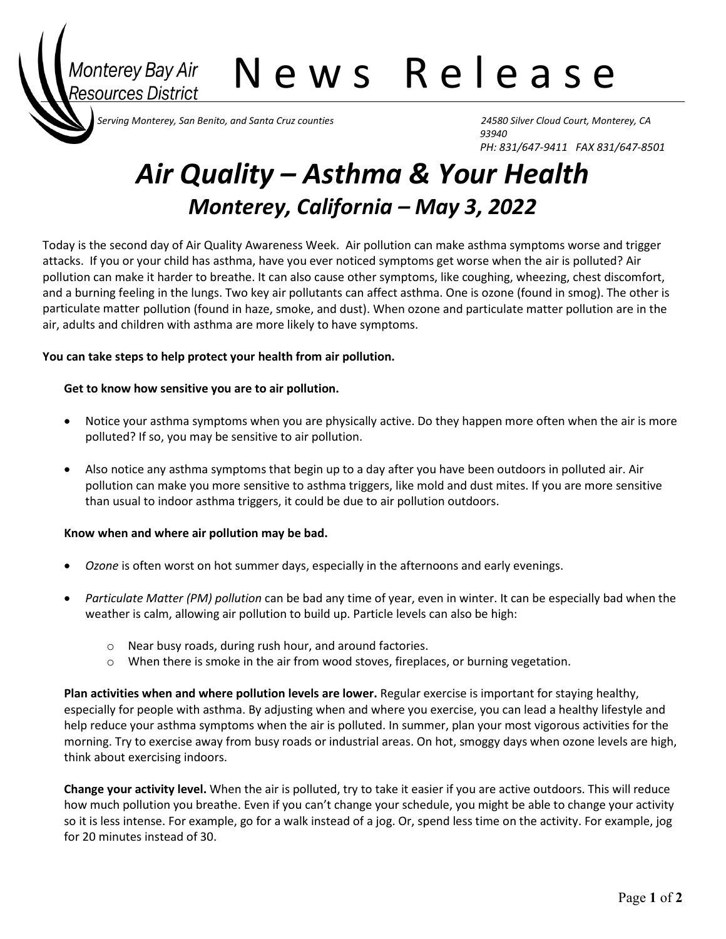Aonterey Bay Air News Release

*Serving Monterey, San Benito, and Santa Cruz counties 24580 Silver Cloud Court, Monterey, CA* 

 $\overline{\phantom{a}}$ 

*93940 PH: 831/647-9411 FAX 831/647-8501*

# *Air Quality – Asthma & Your Health Monterey, California – May 3, 2022*

Today is the second day of Air Quality Awareness Week. Air pollution can make asthma symptoms worse and trigger attacks. If you or your child has asthma, have you ever noticed symptoms get worse when the air is polluted? Air pollution can make it harder to breathe. It can also cause other symptoms, like coughing, wheezing, chest discomfort, and a burning feeling in the lungs. Two key air pollutants can affect asthma. One is ozone (found in smog). The other is particulate matter pollution (found in haze, smoke, and dust). When ozone and particulate matter pollution are in the air, adults and children with asthma are more likely to have symptoms.

# **You can take steps to help protect your health from air pollution.**

# **Get to know how sensitive you are to air pollution.**

- Notice your asthma symptoms when you are physically active. Do they happen more often when the air is more polluted? If so, you may be sensitive to air pollution.
- Also notice any asthma symptoms that begin up to a day after you have been outdoors in polluted air. Air pollution can make you more sensitive to asthma triggers, like mold and dust mites. If you are more sensitive than usual to indoor asthma triggers, it could be due to air pollution outdoors.

### **Know when and where air pollution may be bad.**

- *Ozone* is often worst on hot summer days, especially in the afternoons and early evenings.
- *Particulate Matter (PM) pollution* can be bad any time of year, even in winter. It can be especially bad when the weather is calm, allowing air pollution to build up. Particle levels can also be high:
	- o Near busy roads, during rush hour, and around factories.
	- $\circ$  When there is smoke in the air from wood stoves, fireplaces, or burning vegetation.

**Plan activities when and where pollution levels are lower.** Regular exercise is important for staying healthy, especially for people with asthma. By adjusting when and where you exercise, you can lead a healthy lifestyle and help reduce your asthma symptoms when the air is polluted. In summer, plan your most vigorous activities for the morning. Try to exercise away from busy roads or industrial areas. On hot, smoggy days when ozone levels are high, think about exercising indoors.

**Change your activity level.** When the air is polluted, try to take it easier if you are active outdoors. This will reduce how much pollution you breathe. Even if you can't change your schedule, you might be able to change your activity so it is less intense. For example, go for a walk instead of a jog. Or, spend less time on the activity. For example, jog for 20 minutes instead of 30.